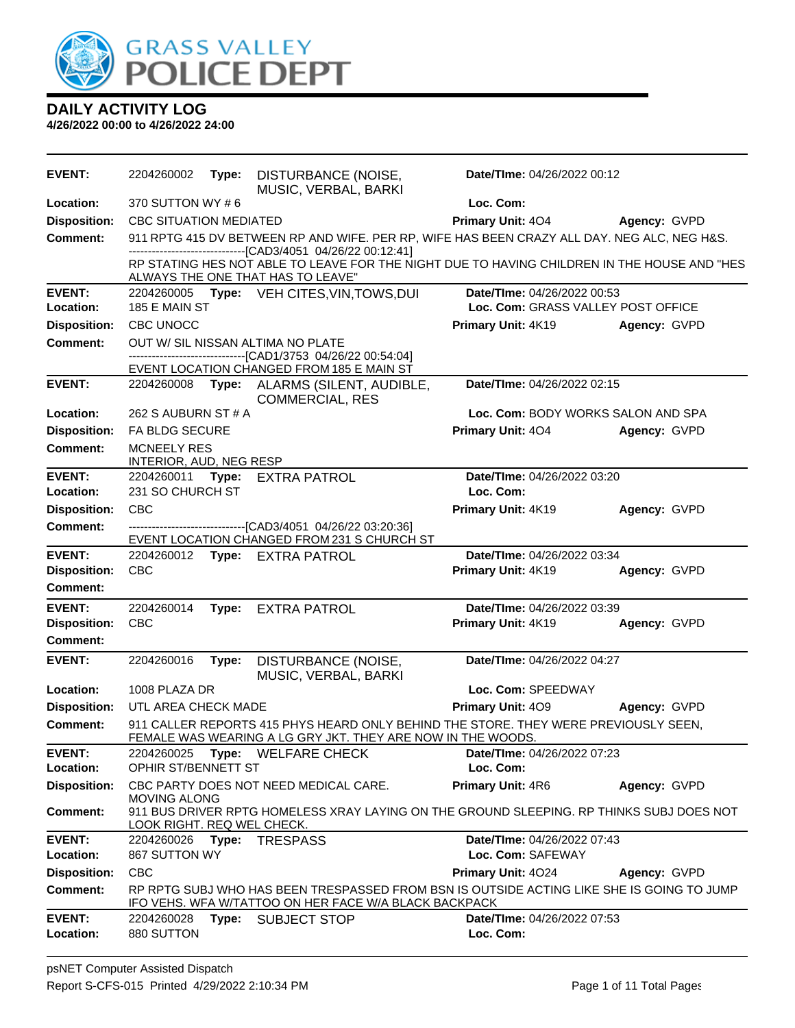

| <b>EVENT:</b>                          | 2204260002                                    | Type: | DISTURBANCE (NOISE,<br>MUSIC, VERBAL, BARKI                                                                                                                | Date/TIme: 04/26/2022 00:12        |              |  |
|----------------------------------------|-----------------------------------------------|-------|------------------------------------------------------------------------------------------------------------------------------------------------------------|------------------------------------|--------------|--|
| Location:                              | 370 SUTTON WY #6                              |       |                                                                                                                                                            | Loc. Com:                          |              |  |
| <b>Disposition:</b>                    | <b>CBC SITUATION MEDIATED</b>                 |       |                                                                                                                                                            | <b>Primary Unit: 404</b>           | Agency: GVPD |  |
| <b>Comment:</b>                        |                                               |       | 911 RPTG 415 DV BETWEEN RP AND WIFE. PER RP, WIFE HAS BEEN CRAZY ALL DAY. NEG ALC, NEG H&S.<br>------------------------------[CAD3/4051 04/26/22 00:12:41] |                                    |              |  |
|                                        |                                               |       | RP STATING HES NOT ABLE TO LEAVE FOR THE NIGHT DUE TO HAVING CHILDREN IN THE HOUSE AND "HES<br>ALWAYS THE ONE THAT HAS TO LEAVE"                           |                                    |              |  |
| <b>EVENT:</b>                          |                                               |       | 2204260005 Type: VEH CITES, VIN, TOWS, DUI                                                                                                                 | Date/TIme: 04/26/2022 00:53        |              |  |
| Location:                              | 185 E MAIN ST                                 |       |                                                                                                                                                            | Loc. Com: GRASS VALLEY POST OFFICE |              |  |
| <b>Disposition:</b>                    | <b>CBC UNOCC</b>                              |       |                                                                                                                                                            | Primary Unit: 4K19                 | Agency: GVPD |  |
| <b>Comment:</b>                        |                                               |       | OUT W/ SIL NISSAN ALTIMA NO PLATE<br>-----------------------[CAD1/3753_04/26/22_00:54:04]                                                                  |                                    |              |  |
|                                        |                                               |       | EVENT LOCATION CHANGED FROM 185 E MAIN ST                                                                                                                  |                                    |              |  |
| <b>EVENT:</b>                          | 2204260008                                    |       | Type: ALARMS (SILENT, AUDIBLE,<br><b>COMMERCIAL, RES</b>                                                                                                   | Date/TIme: 04/26/2022 02:15        |              |  |
| Location:                              | 262 S AUBURN ST # A                           |       |                                                                                                                                                            | Loc. Com: BODY WORKS SALON AND SPA |              |  |
| <b>Disposition:</b>                    | FA BLDG SECURE                                |       |                                                                                                                                                            | <b>Primary Unit: 404</b>           | Agency: GVPD |  |
| Comment:                               | <b>MCNEELY RES</b><br>INTERIOR, AUD, NEG RESP |       |                                                                                                                                                            |                                    |              |  |
| <b>EVENT:</b>                          | 2204260011 Type:                              |       | <b>EXTRA PATROL</b>                                                                                                                                        | Date/TIme: 04/26/2022 03:20        |              |  |
| Location:                              | 231 SO CHURCH ST                              |       |                                                                                                                                                            | Loc. Com:                          |              |  |
| <b>Disposition:</b>                    | <b>CBC</b>                                    |       |                                                                                                                                                            | Primary Unit: 4K19                 | Agency: GVPD |  |
| <b>Comment:</b>                        |                                               |       | ---------------------------------[CAD3/4051 04/26/22 03:20:36]<br>EVENT LOCATION CHANGED FROM 231 S CHURCH ST                                              |                                    |              |  |
| <b>EVENT:</b>                          |                                               |       | 2204260012 Type: EXTRA PATROL                                                                                                                              | Date/TIme: 04/26/2022 03:34        |              |  |
| <b>Disposition:</b><br><b>Comment:</b> | <b>CBC</b>                                    |       |                                                                                                                                                            | Primary Unit: 4K19                 | Agency: GVPD |  |
| <b>EVENT:</b>                          | 2204260014                                    |       | Type: EXTRA PATROL                                                                                                                                         | Date/TIme: 04/26/2022 03:39        |              |  |
| <b>Disposition:</b>                    | <b>CBC</b>                                    |       |                                                                                                                                                            | Primary Unit: 4K19                 | Agency: GVPD |  |
| Comment:                               |                                               |       |                                                                                                                                                            |                                    |              |  |
| <b>EVENT:</b>                          | 2204260016                                    | Type: | DISTURBANCE (NOISE,<br>MUSIC, VERBAL, BARKI                                                                                                                | Date/TIme: 04/26/2022 04:27        |              |  |
| Location:                              | 1008 PLAZA DR                                 |       |                                                                                                                                                            | Loc. Com: SPEEDWAY                 |              |  |
| <b>Disposition:</b>                    | UTL AREA CHECK MADE                           |       |                                                                                                                                                            | Primary Unit: 409                  | Agency: GVPD |  |
| <b>Comment:</b>                        |                                               |       | 911 CALLER REPORTS 415 PHYS HEARD ONLY BEHIND THE STORE. THEY WERE PREVIOUSLY SEEN,<br>FEMALE WAS WEARING A LG GRY JKT. THEY ARE NOW IN THE WOODS.         |                                    |              |  |
| <b>EVENT:</b>                          | 2204260025                                    |       | Type: WELFARE CHECK                                                                                                                                        | Date/TIme: 04/26/2022 07:23        |              |  |
| Location:                              | OPHIR ST/BENNETT ST                           |       |                                                                                                                                                            | Loc. Com:                          |              |  |
| <b>Disposition:</b>                    | <b>MOVING ALONG</b>                           |       | CBC PARTY DOES NOT NEED MEDICAL CARE.                                                                                                                      | Primary Unit: 4R6                  | Agency: GVPD |  |
| <b>Comment:</b>                        | LOOK RIGHT. REQ WEL CHECK.                    |       | 911 BUS DRIVER RPTG HOMELESS XRAY LAYING ON THE GROUND SLEEPING. RP THINKS SUBJ DOES NOT                                                                   |                                    |              |  |
| <b>EVENT:</b>                          | 2204260026 Type:                              |       | <b>TRESPASS</b>                                                                                                                                            | Date/TIme: 04/26/2022 07:43        |              |  |
| Location:                              | 867 SUTTON WY                                 |       |                                                                                                                                                            | Loc. Com: SAFEWAY                  |              |  |
| <b>Disposition:</b>                    | CBC                                           |       |                                                                                                                                                            | Primary Unit: 4024                 | Agency: GVPD |  |
| <b>Comment:</b>                        |                                               |       | RP RPTG SUBJ WHO HAS BEEN TRESPASSED FROM BSN IS OUTSIDE ACTING LIKE SHE IS GOING TO JUMP<br>IFO VEHS. WFA W/TATTOO ON HER FACE W/A BLACK BACKPACK         |                                    |              |  |
| <b>EVENT:</b>                          | 2204260028                                    | Type: | <b>SUBJECT STOP</b>                                                                                                                                        | Date/TIme: 04/26/2022 07:53        |              |  |
| Location:                              | 880 SUTTON                                    |       |                                                                                                                                                            | Loc. Com:                          |              |  |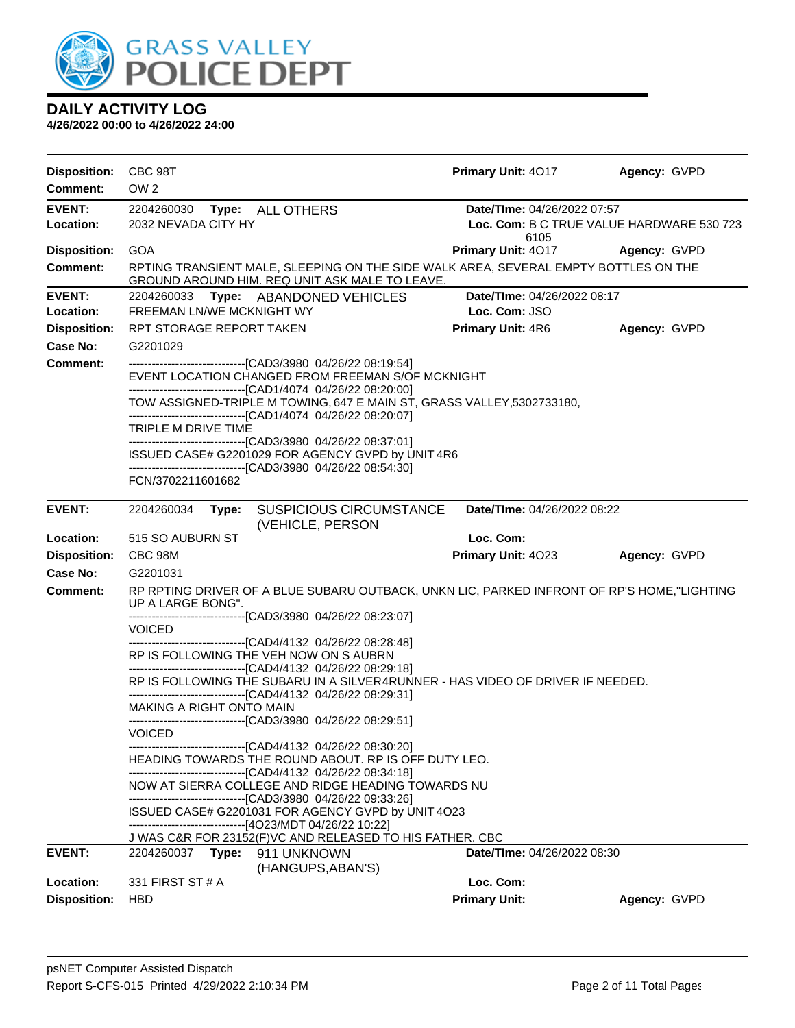

| <b>Disposition:</b>        | CBC 98T                                                                                                                                                                                                                                                                                                                                                                                                                                                                              | Primary Unit: 4017                                                                          | Agency: GVPD                                                             |  |  |  |  |
|----------------------------|--------------------------------------------------------------------------------------------------------------------------------------------------------------------------------------------------------------------------------------------------------------------------------------------------------------------------------------------------------------------------------------------------------------------------------------------------------------------------------------|---------------------------------------------------------------------------------------------|--------------------------------------------------------------------------|--|--|--|--|
| <b>Comment:</b>            | OW <sub>2</sub>                                                                                                                                                                                                                                                                                                                                                                                                                                                                      |                                                                                             |                                                                          |  |  |  |  |
| <b>EVENT:</b><br>Location: | 2204260030 Type:<br><b>ALL OTHERS</b><br>2032 NEVADA CITY HY                                                                                                                                                                                                                                                                                                                                                                                                                         | 6105                                                                                        | Date/TIme: 04/26/2022 07:57<br>Loc. Com: B C TRUE VALUE HARDWARE 530 723 |  |  |  |  |
| <b>Disposition:</b>        | GOA                                                                                                                                                                                                                                                                                                                                                                                                                                                                                  | Primary Unit: 4017                                                                          | Agency: GVPD                                                             |  |  |  |  |
| <b>Comment:</b>            | GROUND AROUND HIM. REQ UNIT ASK MALE TO LEAVE.                                                                                                                                                                                                                                                                                                                                                                                                                                       | RPTING TRANSIENT MALE, SLEEPING ON THE SIDE WALK AREA, SEVERAL EMPTY BOTTLES ON THE         |                                                                          |  |  |  |  |
| <b>EVENT:</b>              | 2204260033<br>Type: ABANDONED VEHICLES                                                                                                                                                                                                                                                                                                                                                                                                                                               | Date/TIme: 04/26/2022 08:17                                                                 |                                                                          |  |  |  |  |
| Location:                  | FREEMAN LN/WE MCKNIGHT WY                                                                                                                                                                                                                                                                                                                                                                                                                                                            | Loc. Com: JSO                                                                               |                                                                          |  |  |  |  |
| <b>Disposition:</b>        | RPT STORAGE REPORT TAKEN                                                                                                                                                                                                                                                                                                                                                                                                                                                             | <b>Primary Unit: 4R6</b>                                                                    | Agency: GVPD                                                             |  |  |  |  |
| <b>Case No:</b>            | G2201029                                                                                                                                                                                                                                                                                                                                                                                                                                                                             |                                                                                             |                                                                          |  |  |  |  |
| Comment:                   | -------------------------------[CAD3/3980 04/26/22 08:19:54]<br>EVENT LOCATION CHANGED FROM FREEMAN S/OF MCKNIGHT<br>-------------------------------[CAD1/4074 04/26/22 08:20:00]<br>-------------------------------[CAD1/4074 04/26/22 08:20:07]<br>TRIPLE M DRIVE TIME<br>--------------------------------[CAD3/3980 04/26/22 08:37:01]<br>ISSUED CASE# G2201029 FOR AGENCY GVPD by UNIT 4R6<br>--------------------------------[CAD3/3980 04/26/22 08:54:30]<br>FCN/3702211601682 | TOW ASSIGNED-TRIPLE M TOWING, 647 E MAIN ST, GRASS VALLEY, 5302733180,                      |                                                                          |  |  |  |  |
|                            |                                                                                                                                                                                                                                                                                                                                                                                                                                                                                      |                                                                                             |                                                                          |  |  |  |  |
| <b>EVENT:</b>              | 2204260034<br>Type:<br>(VEHICLE, PERSON                                                                                                                                                                                                                                                                                                                                                                                                                                              | <b>SUSPICIOUS CIRCUMSTANCE</b><br>Date/TIme: 04/26/2022 08:22                               |                                                                          |  |  |  |  |
| Location:                  | 515 SO AUBURN ST                                                                                                                                                                                                                                                                                                                                                                                                                                                                     | Loc. Com:                                                                                   |                                                                          |  |  |  |  |
| <b>Disposition:</b>        | CBC 98M                                                                                                                                                                                                                                                                                                                                                                                                                                                                              | Primary Unit: 4023                                                                          | Agency: GVPD                                                             |  |  |  |  |
| <b>Case No:</b>            | G2201031                                                                                                                                                                                                                                                                                                                                                                                                                                                                             |                                                                                             |                                                                          |  |  |  |  |
| Comment:                   | UP A LARGE BONG".                                                                                                                                                                                                                                                                                                                                                                                                                                                                    | RP RPTING DRIVER OF A BLUE SUBARU OUTBACK, UNKN LIC, PARKED INFRONT OF RP'S HOME, "LIGHTING |                                                                          |  |  |  |  |
|                            | ------------------------------[CAD3/3980 04/26/22 08:23:07]<br><b>VOICED</b><br>--------------------------------[CAD4/4132 04/26/22 08:28:48]                                                                                                                                                                                                                                                                                                                                        |                                                                                             |                                                                          |  |  |  |  |
|                            | RP IS FOLLOWING THE VEH NOW ON S AUBRN<br>-------------------------------[CAD4/4132 04/26/22 08:29:18]<br>RP IS FOLLOWING THE SUBARU IN A SILVER4RUNNER - HAS VIDEO OF DRIVER IF NEEDED.<br>-------------------------------[CAD4/4132 04/26/22 08:29:31]<br>MAKING A RIGHT ONTO MAIN<br>-------------------------------[CAD3/3980_04/26/22_08:29:51]                                                                                                                                 |                                                                                             |                                                                          |  |  |  |  |
|                            |                                                                                                                                                                                                                                                                                                                                                                                                                                                                                      |                                                                                             |                                                                          |  |  |  |  |
|                            |                                                                                                                                                                                                                                                                                                                                                                                                                                                                                      |                                                                                             |                                                                          |  |  |  |  |
|                            | <b>VOICED</b>                                                                                                                                                                                                                                                                                                                                                                                                                                                                        |                                                                                             |                                                                          |  |  |  |  |
|                            | ---------------------[CAD4/4132 04/26/22 08:30:20]<br>HEADING TOWARDS THE ROUND ABOUT. RP IS OFF DUTY LEO.                                                                                                                                                                                                                                                                                                                                                                           |                                                                                             |                                                                          |  |  |  |  |
|                            | -------------------------------[CAD4/4132 04/26/22 08:34:18]<br>NOW AT SIERRA COLLEGE AND RIDGE HEADING TOWARDS NU                                                                                                                                                                                                                                                                                                                                                                   |                                                                                             |                                                                          |  |  |  |  |
|                            | --------------------------------[CAD3/3980 04/26/22 09:33:26]<br>ISSUED CASE# G2201031 FOR AGENCY GVPD by UNIT 4O23                                                                                                                                                                                                                                                                                                                                                                  |                                                                                             |                                                                          |  |  |  |  |
|                            | ------------------------------[4O23/MDT 04/26/22 10:22]<br>J WAS C&R FOR 23152(F)VC AND RELEASED TO HIS FATHER. CBC                                                                                                                                                                                                                                                                                                                                                                  |                                                                                             |                                                                          |  |  |  |  |
| <b>EVENT:</b>              | 2204260037<br>Type:<br>911 UNKNOWN<br>(HANGUPS, ABAN'S)                                                                                                                                                                                                                                                                                                                                                                                                                              | <b>Date/TIme: 04/26/2022 08:30</b>                                                          |                                                                          |  |  |  |  |
| Location:                  | 331 FIRST ST # A                                                                                                                                                                                                                                                                                                                                                                                                                                                                     | Loc. Com:                                                                                   |                                                                          |  |  |  |  |
| <b>Disposition:</b>        | <b>HBD</b>                                                                                                                                                                                                                                                                                                                                                                                                                                                                           | <b>Primary Unit:</b>                                                                        | Agency: GVPD                                                             |  |  |  |  |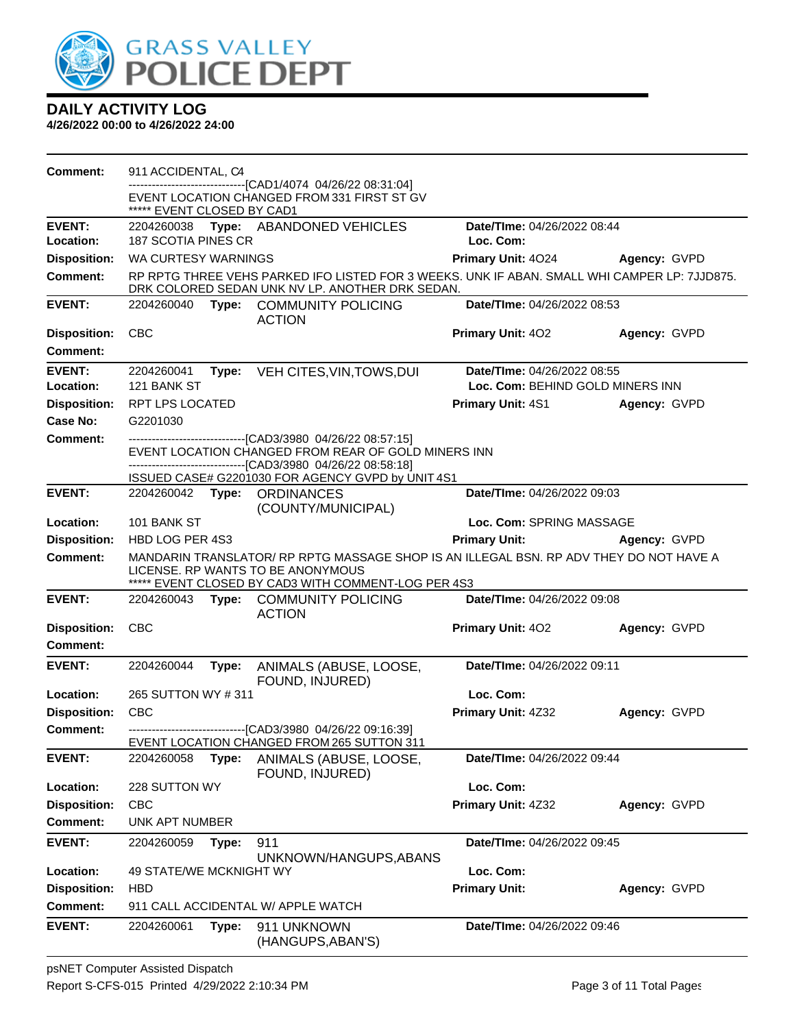

| Comment:            | 911 ACCIDENTAL, C4                                                                                                                                                                 |       |                                                                                                                                                                                      |                                    |              |
|---------------------|------------------------------------------------------------------------------------------------------------------------------------------------------------------------------------|-------|--------------------------------------------------------------------------------------------------------------------------------------------------------------------------------------|------------------------------------|--------------|
|                     | ***** EVENT CLOSED BY CAD1                                                                                                                                                         |       | -------------------------------[CAD1/4074 04/26/22 08:31:04]<br>EVENT LOCATION CHANGED FROM 331 FIRST ST GV                                                                          |                                    |              |
| <b>EVENT:</b>       |                                                                                                                                                                                    |       | 2204260038 Type: ABANDONED VEHICLES                                                                                                                                                  | Date/TIme: 04/26/2022 08:44        |              |
| Location:           | 187 SCOTIA PINES CR                                                                                                                                                                |       |                                                                                                                                                                                      | Loc. Com:                          |              |
| <b>Disposition:</b> | WA CURTESY WARNINGS                                                                                                                                                                |       |                                                                                                                                                                                      | Primary Unit: 4024                 | Agency: GVPD |
| <b>Comment:</b>     |                                                                                                                                                                                    |       | RP RPTG THREE VEHS PARKED IFO LISTED FOR 3 WEEKS. UNK IF ABAN. SMALL WHI CAMPER LP: 7JJD875.<br>DRK COLORED SEDAN UNK NV LP. ANOTHER DRK SEDAN.                                      |                                    |              |
| <b>EVENT:</b>       | 2204260040                                                                                                                                                                         |       | Type: COMMUNITY POLICING<br><b>ACTION</b>                                                                                                                                            | Date/TIme: 04/26/2022 08:53        |              |
| <b>Disposition:</b> | CBC                                                                                                                                                                                |       |                                                                                                                                                                                      | <b>Primary Unit: 402</b>           | Agency: GVPD |
| Comment:            |                                                                                                                                                                                    |       |                                                                                                                                                                                      |                                    |              |
| <b>EVENT:</b>       | 2204260041                                                                                                                                                                         |       | Type: VEH CITES, VIN, TOWS, DUI                                                                                                                                                      | <b>Date/Time: 04/26/2022 08:55</b> |              |
| Location:           | 121 BANK ST                                                                                                                                                                        |       |                                                                                                                                                                                      | Loc. Com: BEHIND GOLD MINERS INN   |              |
| <b>Disposition:</b> | <b>RPT LPS LOCATED</b>                                                                                                                                                             |       |                                                                                                                                                                                      | <b>Primary Unit: 4S1</b>           | Agency: GVPD |
| Case No:            | G2201030                                                                                                                                                                           |       |                                                                                                                                                                                      |                                    |              |
| <b>Comment:</b>     |                                                                                                                                                                                    |       | --------------------------------[CAD3/3980 04/26/22 08:57:15]<br>EVENT LOCATION CHANGED FROM REAR OF GOLD MINERS INN<br>-------------------------------[CAD3/3980_04/26/22_08:58:18] |                                    |              |
|                     |                                                                                                                                                                                    |       | ISSUED CASE# G2201030 FOR AGENCY GVPD by UNIT 4S1                                                                                                                                    |                                    |              |
| <b>EVENT:</b>       |                                                                                                                                                                                    |       | 2204260042 Type: ORDINANCES<br>(COUNTY/MUNICIPAL)                                                                                                                                    | Date/TIme: 04/26/2022 09:03        |              |
| Location:           | 101 BANK ST                                                                                                                                                                        |       |                                                                                                                                                                                      | Loc. Com: SPRING MASSAGE           |              |
| <b>Disposition:</b> | HBD LOG PER 4S3                                                                                                                                                                    |       |                                                                                                                                                                                      | <b>Primary Unit:</b>               | Agency: GVPD |
| <b>Comment:</b>     | MANDARIN TRANSLATOR/ RP RPTG MASSAGE SHOP IS AN ILLEGAL BSN. RP ADV THEY DO NOT HAVE A<br>LICENSE. RP WANTS TO BE ANONYMOUS<br>***** EVENT CLOSED BY CAD3 WITH COMMENT-LOG PER 4S3 |       |                                                                                                                                                                                      |                                    |              |
| <b>EVENT:</b>       | 2204260043                                                                                                                                                                         |       | Type: COMMUNITY POLICING<br><b>ACTION</b>                                                                                                                                            | Date/TIme: 04/26/2022 09:08        |              |
| <b>Disposition:</b> | <b>CBC</b>                                                                                                                                                                         |       |                                                                                                                                                                                      | Primary Unit: 402                  | Agency: GVPD |
| <b>Comment:</b>     |                                                                                                                                                                                    |       |                                                                                                                                                                                      |                                    |              |
| <b>EVENT:</b>       | 2204260044                                                                                                                                                                         | Type: | ANIMALS (ABUSE, LOOSE,<br>FOUND, INJURED)                                                                                                                                            | Date/TIme: 04/26/2022 09:11        |              |
| Location:           | 265 SUTTON WY #311                                                                                                                                                                 |       |                                                                                                                                                                                      | Loc. Com:                          |              |
| <b>Disposition:</b> | CBC                                                                                                                                                                                |       |                                                                                                                                                                                      | Primary Unit: 4Z32                 | Agency: GVPD |
| Comment:            |                                                                                                                                                                                    |       | -------------------------------[CAD3/3980_04/26/22_09:16:39]                                                                                                                         |                                    |              |
| <b>EVENT:</b>       | 2204260058                                                                                                                                                                         | Type: | EVENT LOCATION CHANGED FROM 265 SUTTON 311<br>ANIMALS (ABUSE, LOOSE,                                                                                                                 | Date/TIme: 04/26/2022 09:44        |              |
|                     |                                                                                                                                                                                    |       | FOUND, INJURED)                                                                                                                                                                      |                                    |              |
| Location:           | 228 SUTTON WY                                                                                                                                                                      |       |                                                                                                                                                                                      | Loc. Com:                          |              |
| <b>Disposition:</b> | <b>CBC</b>                                                                                                                                                                         |       |                                                                                                                                                                                      | Primary Unit: 4Z32                 | Agency: GVPD |
| <b>Comment:</b>     | <b>UNK APT NUMBER</b>                                                                                                                                                              |       |                                                                                                                                                                                      |                                    |              |
| <b>EVENT:</b>       | 2204260059                                                                                                                                                                         | Type: | 911<br>UNKNOWN/HANGUPS, ABANS                                                                                                                                                        | Date/TIme: 04/26/2022 09:45        |              |
| Location:           | 49 STATE/WE MCKNIGHT WY                                                                                                                                                            |       |                                                                                                                                                                                      | Loc. Com:                          |              |
| <b>Disposition:</b> | <b>HBD</b>                                                                                                                                                                         |       |                                                                                                                                                                                      | <b>Primary Unit:</b>               | Agency: GVPD |
| <b>Comment:</b>     |                                                                                                                                                                                    |       | 911 CALL ACCIDENTAL W/ APPLE WATCH                                                                                                                                                   |                                    |              |
| <b>EVENT:</b>       | 2204260061                                                                                                                                                                         | Type: | 911 UNKNOWN<br>(HANGUPS, ABAN'S)                                                                                                                                                     | Date/TIme: 04/26/2022 09:46        |              |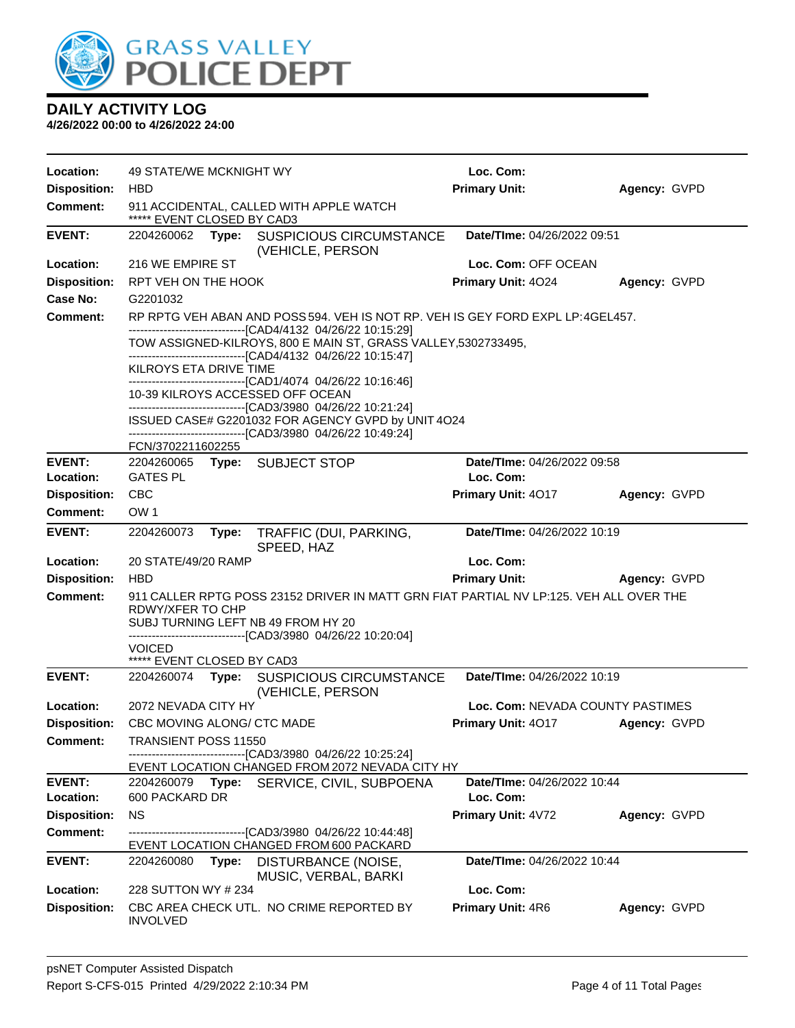

| Location:                  | 49 STATE/WE MCKNIGHT WY                                                                                                                                                                                         | Loc. Com:                                |              |  |  |
|----------------------------|-----------------------------------------------------------------------------------------------------------------------------------------------------------------------------------------------------------------|------------------------------------------|--------------|--|--|
| <b>Disposition:</b>        | <b>HBD</b>                                                                                                                                                                                                      | <b>Primary Unit:</b>                     | Agency: GVPD |  |  |
| <b>Comment:</b>            | 911 ACCIDENTAL, CALLED WITH APPLE WATCH<br>***** EVENT CLOSED BY CAD3                                                                                                                                           |                                          |              |  |  |
| <b>EVENT:</b>              | Type: SUSPICIOUS CIRCUMSTANCE<br>2204260062<br>(VEHICLE, PERSON                                                                                                                                                 | <b>Date/Time: 04/26/2022 09:51</b>       |              |  |  |
| Location:                  | 216 WE EMPIRE ST                                                                                                                                                                                                | Loc. Com: OFF OCEAN                      |              |  |  |
| <b>Disposition:</b>        | RPT VEH ON THE HOOK                                                                                                                                                                                             | <b>Primary Unit: 4024</b>                | Agency: GVPD |  |  |
| <b>Case No:</b>            | G2201032                                                                                                                                                                                                        |                                          |              |  |  |
| Comment:                   | RP RPTG VEH ABAN AND POSS 594. VEH IS NOT RP. VEH IS GEY FORD EXPL LP: 4GEL457.<br>-------------------------------[CAD4/4132 04/26/22 10:15:29]                                                                 |                                          |              |  |  |
|                            | TOW ASSIGNED-KILROYS, 800 E MAIN ST, GRASS VALLEY,5302733495,<br>-------------------------------[CAD4/4132 04/26/22 10:15:47]                                                                                   |                                          |              |  |  |
|                            | KILROYS ETA DRIVE TIME                                                                                                                                                                                          |                                          |              |  |  |
|                            | ------------------------------[CAD1/4074_04/26/22 10:16:46]<br>10-39 KILROYS ACCESSED OFF OCEAN                                                                                                                 |                                          |              |  |  |
|                            | ------------------------------[CAD3/3980_04/26/22 10:21:24]<br>ISSUED CASE# G2201032 FOR AGENCY GVPD by UNIT 4O24<br>------------------------------[CAD3/3980 04/26/22 10:49:24]                                |                                          |              |  |  |
|                            | FCN/3702211602255                                                                                                                                                                                               |                                          |              |  |  |
| <b>EVENT:</b>              | 2204260065 Type: SUBJECT STOP                                                                                                                                                                                   | Date/TIme: 04/26/2022 09:58              |              |  |  |
| Location:                  | <b>GATES PL</b>                                                                                                                                                                                                 | Loc. Com:                                |              |  |  |
| <b>Disposition:</b>        | <b>CBC</b>                                                                                                                                                                                                      | Primary Unit: 4017                       | Agency: GVPD |  |  |
| <b>Comment:</b>            | OW <sub>1</sub>                                                                                                                                                                                                 |                                          |              |  |  |
| <b>EVENT:</b>              | 2204260073<br>Type:<br>TRAFFIC (DUI, PARKING,<br>SPEED, HAZ                                                                                                                                                     | Date/TIme: 04/26/2022 10:19              |              |  |  |
| Location:                  | 20 STATE/49/20 RAMP                                                                                                                                                                                             | Loc. Com:                                |              |  |  |
| <b>Disposition:</b>        | <b>HBD</b>                                                                                                                                                                                                      | <b>Primary Unit:</b>                     | Agency: GVPD |  |  |
| <b>Comment:</b>            | 911 CALLER RPTG POSS 23152 DRIVER IN MATT GRN FIAT PARTIAL NV LP:125. VEH ALL OVER THE<br>RDWY/XFER TO CHP<br>SUBJ TURNING LEFT NB 49 FROM HY 20<br>------------------------------[CAD3/3980 04/26/22 10:20:04] |                                          |              |  |  |
|                            | VOICED<br>***** EVENT CLOSED BY CAD3                                                                                                                                                                            |                                          |              |  |  |
| <b>EVENT:</b>              | SUSPICIOUS CIRCUMSTANCE<br>2204260074 Type:<br>(VEHICLE, PERSON                                                                                                                                                 | Date/TIme: 04/26/2022 10:19              |              |  |  |
| Location:                  | 2072 NEVADA CITY HY                                                                                                                                                                                             | Loc. Com: NEVADA COUNTY PASTIMES         |              |  |  |
| <b>Disposition:</b>        | CBC MOVING ALONG/ CTC MADE                                                                                                                                                                                      | <b>Primary Unit: 4017</b>                | Agency: GVPD |  |  |
| <b>Comment:</b>            | TRANSIENT POSS 11550<br>-------------------------------[CAD3/3980_04/26/22 10:25:24]                                                                                                                            |                                          |              |  |  |
|                            | EVENT LOCATION CHANGED FROM 2072 NEVADA CITY HY                                                                                                                                                                 |                                          |              |  |  |
| <b>EVENT:</b><br>Location: | 2204260079<br>Type:<br>SERVICE, CIVIL, SUBPOENA<br>600 PACKARD DR                                                                                                                                               | Date/TIme: 04/26/2022 10:44<br>Loc. Com: |              |  |  |
| <b>Disposition:</b>        | <b>NS</b>                                                                                                                                                                                                       | Primary Unit: 4V72                       | Agency: GVPD |  |  |
| <b>Comment:</b>            | -------------------------------[CAD3/3980 04/26/22 10:44:48]<br>EVENT LOCATION CHANGED FROM 600 PACKARD                                                                                                         |                                          |              |  |  |
| <b>EVENT:</b>              | 2204260080<br>Type:<br>DISTURBANCE (NOISE,<br>MUSIC, VERBAL, BARKI                                                                                                                                              | Date/TIme: 04/26/2022 10:44              |              |  |  |
| Location:                  | 228 SUTTON WY # 234                                                                                                                                                                                             | Loc. Com:                                |              |  |  |
| <b>Disposition:</b>        | CBC AREA CHECK UTL. NO CRIME REPORTED BY                                                                                                                                                                        | Primary Unit: 4R6                        | Agency: GVPD |  |  |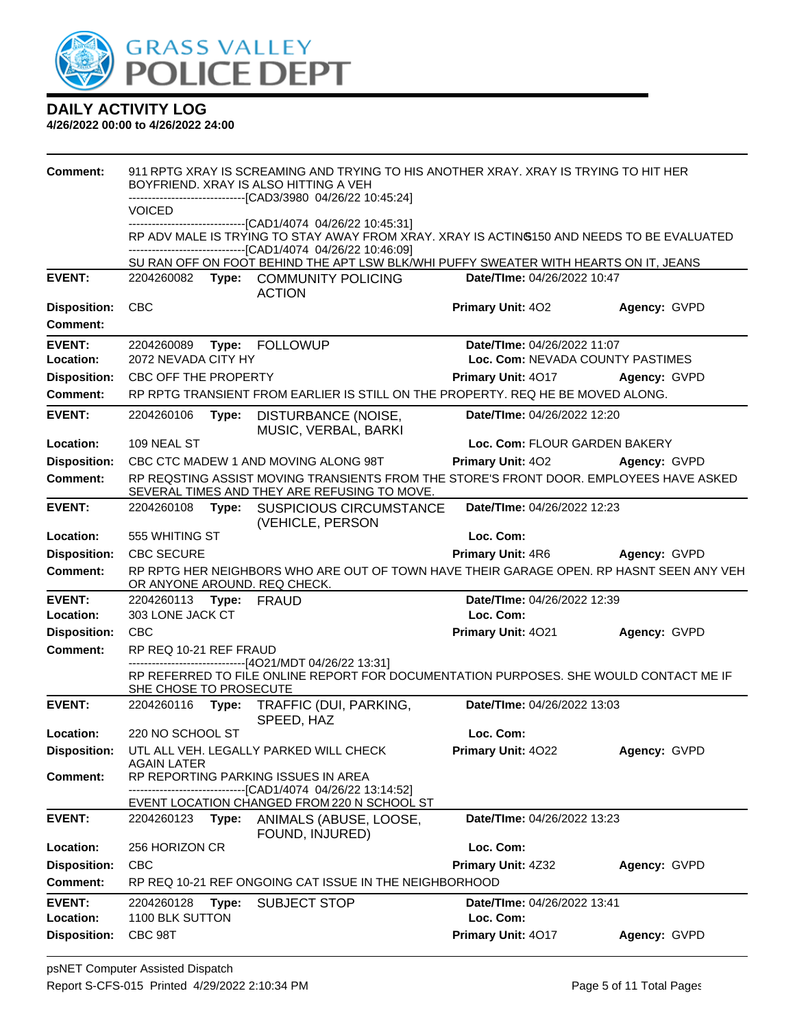

| <b>Comment:</b>                        | 911 RPTG XRAY IS SCREAMING AND TRYING TO HIS ANOTHER XRAY, XRAY IS TRYING TO HIT HER<br>BOYFRIEND. XRAY IS ALSO HITTING A VEH<br>-----------------------[CAD3/3980_04/26/22 10:45:24] |       |                                                                                                                                                                                                             |                                  |              |
|----------------------------------------|---------------------------------------------------------------------------------------------------------------------------------------------------------------------------------------|-------|-------------------------------------------------------------------------------------------------------------------------------------------------------------------------------------------------------------|----------------------------------|--------------|
|                                        | <b>VOICED</b>                                                                                                                                                                         |       |                                                                                                                                                                                                             |                                  |              |
|                                        |                                                                                                                                                                                       |       | -----------------[CAD1/4074_04/26/22 10:45:31]<br>RP ADV MALE IS TRYING TO STAY AWAY FROM XRAY. XRAY IS ACTING150 AND NEEDS TO BE EVALUATED<br>-------------------------------[CAD1/4074 04/26/22 10:46:09] |                                  |              |
|                                        |                                                                                                                                                                                       |       | SU RAN OFF ON FOOT BEHIND THE APT LSW BLK/WHI PUFFY SWEATER WITH HEARTS ON IT, JEANS                                                                                                                        |                                  |              |
| <b>EVENT:</b>                          | 2204260082                                                                                                                                                                            |       | Type: COMMUNITY POLICING                                                                                                                                                                                    | Date/TIme: 04/26/2022 10:47      |              |
|                                        | <b>CBC</b>                                                                                                                                                                            |       | <b>ACTION</b>                                                                                                                                                                                               | <b>Primary Unit: 402</b>         |              |
| <b>Disposition:</b><br><b>Comment:</b> |                                                                                                                                                                                       |       |                                                                                                                                                                                                             |                                  | Agency: GVPD |
| <b>EVENT:</b>                          | 2204260089                                                                                                                                                                            |       | Type: FOLLOWUP                                                                                                                                                                                              | Date/TIme: 04/26/2022 11:07      |              |
| Location:                              | 2072 NEVADA CITY HY                                                                                                                                                                   |       |                                                                                                                                                                                                             | Loc. Com: NEVADA COUNTY PASTIMES |              |
| <b>Disposition:</b>                    | CBC OFF THE PROPERTY                                                                                                                                                                  |       |                                                                                                                                                                                                             | Primary Unit: 4017               | Agency: GVPD |
| Comment:                               |                                                                                                                                                                                       |       | RP RPTG TRANSIENT FROM EARLIER IS STILL ON THE PROPERTY. REQ HE BE MOVED ALONG.                                                                                                                             |                                  |              |
| <b>EVENT:</b>                          | 2204260106                                                                                                                                                                            | Type: | DISTURBANCE (NOISE,<br>MUSIC, VERBAL, BARKI                                                                                                                                                                 | Date/TIme: 04/26/2022 12:20      |              |
| Location:                              | 109 NEAL ST                                                                                                                                                                           |       |                                                                                                                                                                                                             | Loc. Com: FLOUR GARDEN BAKERY    |              |
| <b>Disposition:</b>                    |                                                                                                                                                                                       |       | CBC CTC MADEW 1 AND MOVING ALONG 98T                                                                                                                                                                        | <b>Primary Unit: 402</b>         | Agency: GVPD |
| Comment:                               |                                                                                                                                                                                       |       | RP REQSTING ASSIST MOVING TRANSIENTS FROM THE STORE'S FRONT DOOR. EMPLOYEES HAVE ASKED<br>SEVERAL TIMES AND THEY ARE REFUSING TO MOVE.                                                                      |                                  |              |
| <b>EVENT:</b>                          | 2204260108                                                                                                                                                                            | Type: | <b>SUSPICIOUS CIRCUMSTANCE</b><br>(VEHICLE, PERSON                                                                                                                                                          | Date/TIme: 04/26/2022 12:23      |              |
| Location:                              | 555 WHITING ST                                                                                                                                                                        |       |                                                                                                                                                                                                             | Loc. Com:                        |              |
| <b>Disposition:</b>                    | <b>CBC SECURE</b>                                                                                                                                                                     |       |                                                                                                                                                                                                             | <b>Primary Unit: 4R6</b>         | Agency: GVPD |
| <b>Comment:</b>                        |                                                                                                                                                                                       |       | RP RPTG HER NEIGHBORS WHO ARE OUT OF TOWN HAVE THEIR GARAGE OPEN. RP HASNT SEEN ANY VEH<br>OR ANYONE AROUND. REQ CHECK.                                                                                     |                                  |              |
|                                        |                                                                                                                                                                                       |       |                                                                                                                                                                                                             |                                  |              |
| <b>EVENT:</b>                          | 2204260113                                                                                                                                                                            |       | Type: FRAUD                                                                                                                                                                                                 | Date/TIme: 04/26/2022 12:39      |              |
| Location:                              | 303 LONE JACK CT                                                                                                                                                                      |       |                                                                                                                                                                                                             | Loc. Com:                        |              |
| <b>Disposition:</b>                    | <b>CBC</b>                                                                                                                                                                            |       |                                                                                                                                                                                                             | Primary Unit: 4021               | Agency: GVPD |
| <b>Comment:</b>                        | RP REQ 10-21 REF FRAUD                                                                                                                                                                |       |                                                                                                                                                                                                             |                                  |              |
|                                        | SHE CHOSE TO PROSECUTE                                                                                                                                                                |       | -----------------------[4O21/MDT 04/26/22 13:31]<br>RP REFERRED TO FILE ONLINE REPORT FOR DOCUMENTATION PURPOSES. SHE WOULD CONTACT ME IF                                                                   |                                  |              |
| <b>EVENT:</b>                          | 2204260116 Type:                                                                                                                                                                      |       | TRAFFIC (DUI, PARKING,<br>SPEED, HAZ                                                                                                                                                                        | Date/TIme: 04/26/2022 13:03      |              |
| Location:                              | 220 NO SCHOOL ST                                                                                                                                                                      |       |                                                                                                                                                                                                             | Loc. Com:                        |              |
| <b>Disposition:</b>                    |                                                                                                                                                                                       |       | UTL ALL VEH. LEGALLY PARKED WILL CHECK                                                                                                                                                                      | Primary Unit: 4022               | Agency: GVPD |
|                                        | AGAIN LATER                                                                                                                                                                           |       |                                                                                                                                                                                                             |                                  |              |
| <b>Comment:</b>                        |                                                                                                                                                                                       |       | RP REPORTING PARKING ISSUES IN AREA<br>-------------------------[CAD1/4074_04/26/22 13:14:52]                                                                                                               |                                  |              |
| <b>EVENT:</b>                          | 2204260123                                                                                                                                                                            | Type: | EVENT LOCATION CHANGED FROM 220 N SCHOOL ST<br>ANIMALS (ABUSE, LOOSE,                                                                                                                                       | Date/TIme: 04/26/2022 13:23      |              |
| Location:                              | 256 HORIZON CR                                                                                                                                                                        |       | FOUND, INJURED)                                                                                                                                                                                             | Loc. Com:                        |              |
| <b>Disposition:</b>                    | <b>CBC</b>                                                                                                                                                                            |       |                                                                                                                                                                                                             | Primary Unit: 4Z32               | Agency: GVPD |
| Comment:                               |                                                                                                                                                                                       |       | RP REQ 10-21 REF ONGOING CAT ISSUE IN THE NEIGHBORHOOD                                                                                                                                                      |                                  |              |
| <b>EVENT:</b>                          | 2204260128                                                                                                                                                                            | Type: | <b>SUBJECT STOP</b>                                                                                                                                                                                         | Date/TIme: 04/26/2022 13:41      |              |
| Location:                              | 1100 BLK SUTTON                                                                                                                                                                       |       |                                                                                                                                                                                                             | Loc. Com:                        |              |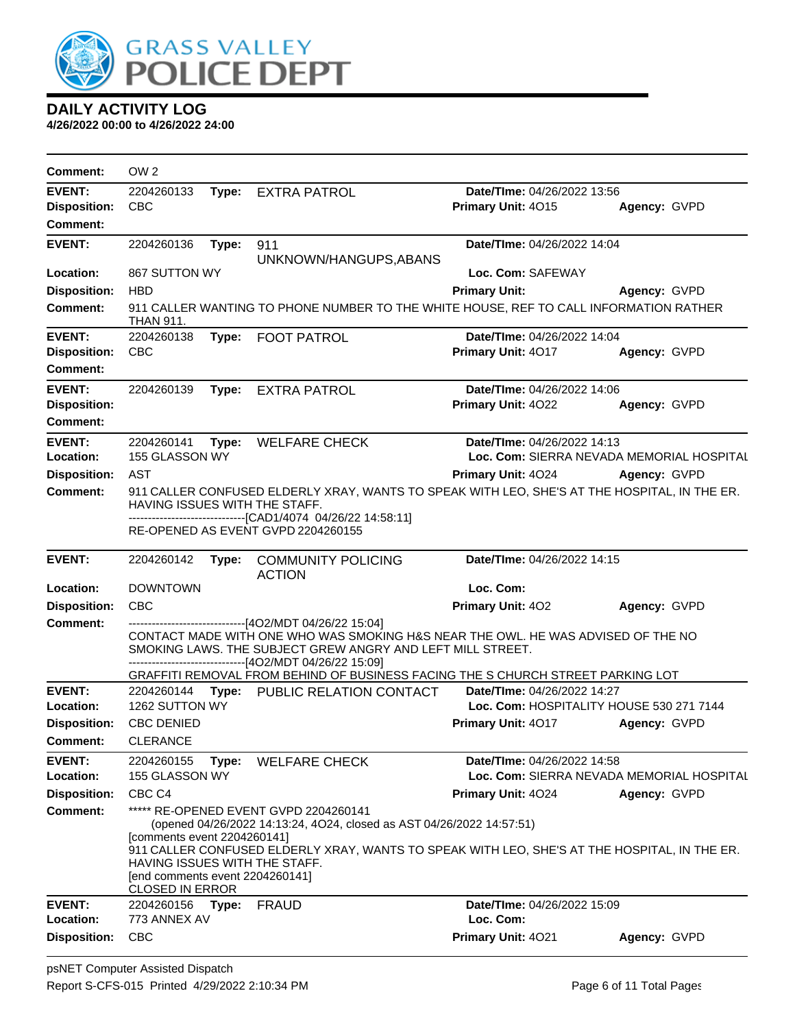

| <b>Comment:</b>     | OW <sub>2</sub>                                                                                                           |       |                                                                                                                                                                                                                                                                     |                             |                                           |
|---------------------|---------------------------------------------------------------------------------------------------------------------------|-------|---------------------------------------------------------------------------------------------------------------------------------------------------------------------------------------------------------------------------------------------------------------------|-----------------------------|-------------------------------------------|
| <b>EVENT:</b>       | 2204260133                                                                                                                | Type: | <b>EXTRA PATROL</b>                                                                                                                                                                                                                                                 | Date/TIme: 04/26/2022 13:56 |                                           |
| <b>Disposition:</b> | <b>CBC</b>                                                                                                                |       |                                                                                                                                                                                                                                                                     | Primary Unit: 4015          | Agency: GVPD                              |
| <b>Comment:</b>     |                                                                                                                           |       |                                                                                                                                                                                                                                                                     |                             |                                           |
| <b>EVENT:</b>       | 2204260136                                                                                                                | Type: | 911                                                                                                                                                                                                                                                                 | Date/TIme: 04/26/2022 14:04 |                                           |
|                     |                                                                                                                           |       | UNKNOWN/HANGUPS, ABANS                                                                                                                                                                                                                                              |                             |                                           |
| Location:           | 867 SUTTON WY                                                                                                             |       |                                                                                                                                                                                                                                                                     | Loc. Com: SAFEWAY           |                                           |
| <b>Disposition:</b> | <b>HBD</b>                                                                                                                |       |                                                                                                                                                                                                                                                                     | <b>Primary Unit:</b>        | Agency: GVPD                              |
| <b>Comment:</b>     | <b>THAN 911.</b>                                                                                                          |       | 911 CALLER WANTING TO PHONE NUMBER TO THE WHITE HOUSE, REF TO CALL INFORMATION RATHER                                                                                                                                                                               |                             |                                           |
| <b>EVENT:</b>       | 2204260138                                                                                                                | Type: | <b>FOOT PATROL</b>                                                                                                                                                                                                                                                  | Date/TIme: 04/26/2022 14:04 |                                           |
| <b>Disposition:</b> | <b>CBC</b>                                                                                                                |       |                                                                                                                                                                                                                                                                     | Primary Unit: 4017          | Agency: GVPD                              |
| <b>Comment:</b>     |                                                                                                                           |       |                                                                                                                                                                                                                                                                     |                             |                                           |
| <b>EVENT:</b>       | 2204260139                                                                                                                | Type: | <b>EXTRA PATROL</b>                                                                                                                                                                                                                                                 | Date/TIme: 04/26/2022 14:06 |                                           |
| <b>Disposition:</b> |                                                                                                                           |       |                                                                                                                                                                                                                                                                     | Primary Unit: 4022          | Agency: GVPD                              |
| <b>Comment:</b>     |                                                                                                                           |       |                                                                                                                                                                                                                                                                     |                             |                                           |
| <b>EVENT:</b>       | 2204260141                                                                                                                | Type: | <b>WELFARE CHECK</b>                                                                                                                                                                                                                                                | Date/TIme: 04/26/2022 14:13 |                                           |
| Location:           | 155 GLASSON WY                                                                                                            |       |                                                                                                                                                                                                                                                                     |                             | Loc. Com: SIERRA NEVADA MEMORIAL HOSPITAL |
| <b>Disposition:</b> | AST                                                                                                                       |       |                                                                                                                                                                                                                                                                     | <b>Primary Unit: 4024</b>   | Agency: GVPD                              |
| <b>Comment:</b>     | HAVING ISSUES WITH THE STAFF.                                                                                             |       | 911 CALLER CONFUSED ELDERLY XRAY, WANTS TO SPEAK WITH LEO, SHE'S AT THE HOSPITAL, IN THE ER.                                                                                                                                                                        |                             |                                           |
|                     |                                                                                                                           |       | -----------------------[CAD1/4074_04/26/22_14:58:11]<br>RE-OPENED AS EVENT GVPD 2204260155                                                                                                                                                                          |                             |                                           |
| <b>EVENT:</b>       | 2204260142                                                                                                                | Type: | <b>COMMUNITY POLICING</b><br><b>ACTION</b>                                                                                                                                                                                                                          | Date/TIme: 04/26/2022 14:15 |                                           |
| Location:           | <b>DOWNTOWN</b>                                                                                                           |       |                                                                                                                                                                                                                                                                     | Loc. Com:                   |                                           |
| <b>Disposition:</b> | <b>CBC</b>                                                                                                                |       |                                                                                                                                                                                                                                                                     | Primary Unit: 402           | Agency: GVPD                              |
| <b>Comment:</b>     |                                                                                                                           |       | -------------------------------[4O2/MDT 04/26/22 15:04]<br>CONTACT MADE WITH ONE WHO WAS SMOKING H&S NEAR THE OWL. HE WAS ADVISED OF THE NO<br>SMOKING LAWS. THE SUBJECT GREW ANGRY AND LEFT MILL STREET.<br>------------------------------[4O2/MDT 04/26/22 15:09] |                             |                                           |
| <b>EVENT:</b>       | 2204260144                                                                                                                |       | GRAFFITI REMOVAL FROM BEHIND OF BUSINESS FACING THE S CHURCH STREET PARKING LOT                                                                                                                                                                                     | Date/TIme: 04/26/2022 14:27 |                                           |
| Location:           | 1262 SUTTON WY                                                                                                            |       | Type: PUBLIC RELATION CONTACT                                                                                                                                                                                                                                       |                             | Loc. Com: HOSPITALITY HOUSE 530 271 7144  |
| <b>Disposition:</b> | <b>CBC DENIED</b>                                                                                                         |       |                                                                                                                                                                                                                                                                     | Primary Unit: 4017          | Agency: GVPD                              |
| <b>Comment:</b>     | <b>CLERANCE</b>                                                                                                           |       |                                                                                                                                                                                                                                                                     |                             |                                           |
| <b>EVENT:</b>       | 2204260155                                                                                                                | Type: | <b>WELFARE CHECK</b>                                                                                                                                                                                                                                                | Date/TIme: 04/26/2022 14:58 |                                           |
| Location:           | 155 GLASSON WY                                                                                                            |       |                                                                                                                                                                                                                                                                     |                             | Loc. Com: SIERRA NEVADA MEMORIAL HOSPITAL |
| <b>Disposition:</b> | CBC <sub>C4</sub>                                                                                                         |       |                                                                                                                                                                                                                                                                     | Primary Unit: 4024          | Agency: GVPD                              |
| Comment:            |                                                                                                                           |       | ***** RE-OPENED EVENT GVPD 2204260141                                                                                                                                                                                                                               |                             |                                           |
|                     | [comments event 2204260141]<br>HAVING ISSUES WITH THE STAFF.<br>[end comments event 2204260141]<br><b>CLOSED IN ERROR</b> |       | (opened 04/26/2022 14:13:24, 4O24, closed as AST 04/26/2022 14:57:51)<br>911 CALLER CONFUSED ELDERLY XRAY, WANTS TO SPEAK WITH LEO, SHE'S AT THE HOSPITAL, IN THE ER.                                                                                               |                             |                                           |
| <b>EVENT:</b>       | 2204260156                                                                                                                | Type: | <b>FRAUD</b>                                                                                                                                                                                                                                                        | Date/TIme: 04/26/2022 15:09 |                                           |
| Location:           | 773 ANNEX AV                                                                                                              |       |                                                                                                                                                                                                                                                                     | Loc. Com:                   |                                           |
| <b>Disposition:</b> | <b>CBC</b>                                                                                                                |       |                                                                                                                                                                                                                                                                     | Primary Unit: 4021          | Agency: GVPD                              |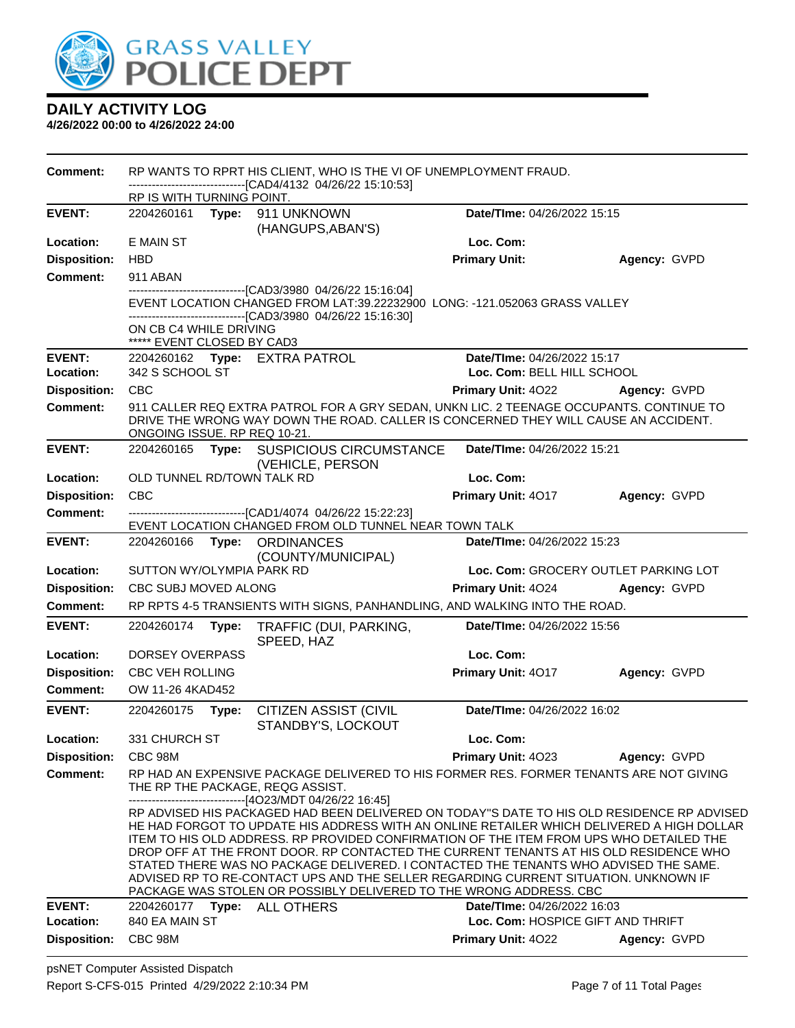

| <b>Comment:</b>            |                                                      |       | RP WANTS TO RPRT HIS CLIENT, WHO IS THE VI OF UNEMPLOYMENT FRAUD.                                                                                                                                                                                                                                                                                                                                                                                                                                                                                                                                                                |                                                           |                                      |
|----------------------------|------------------------------------------------------|-------|----------------------------------------------------------------------------------------------------------------------------------------------------------------------------------------------------------------------------------------------------------------------------------------------------------------------------------------------------------------------------------------------------------------------------------------------------------------------------------------------------------------------------------------------------------------------------------------------------------------------------------|-----------------------------------------------------------|--------------------------------------|
|                            | RP IS WITH TURNING POINT.                            |       | -------------------------------[CAD4/4132 04/26/22 15:10:53]                                                                                                                                                                                                                                                                                                                                                                                                                                                                                                                                                                     |                                                           |                                      |
| <b>EVENT:</b>              |                                                      |       | 2204260161 Type: 911 UNKNOWN<br>(HANGUPS, ABAN'S)                                                                                                                                                                                                                                                                                                                                                                                                                                                                                                                                                                                | Date/TIme: 04/26/2022 15:15                               |                                      |
| Location:                  | E MAIN ST                                            |       |                                                                                                                                                                                                                                                                                                                                                                                                                                                                                                                                                                                                                                  | Loc. Com:                                                 |                                      |
| <b>Disposition:</b>        | <b>HBD</b>                                           |       |                                                                                                                                                                                                                                                                                                                                                                                                                                                                                                                                                                                                                                  | <b>Primary Unit:</b>                                      | Agency: GVPD                         |
| <b>Comment:</b>            | 911 ABAN                                             |       |                                                                                                                                                                                                                                                                                                                                                                                                                                                                                                                                                                                                                                  |                                                           |                                      |
|                            | ON CB C4 WHILE DRIVING<br>***** EVENT CLOSED BY CAD3 |       | --------------------[CAD3/3980_04/26/22_15:16:04]<br>EVENT LOCATION CHANGED FROM LAT:39.22232900 LONG: -121.052063 GRASS VALLEY<br>-------------------------------[CAD3/3980 04/26/22 15:16:30]                                                                                                                                                                                                                                                                                                                                                                                                                                  |                                                           |                                      |
| <b>EVENT:</b><br>Location: | 342 S SCHOOL ST                                      |       | 2204260162 Type: EXTRA PATROL                                                                                                                                                                                                                                                                                                                                                                                                                                                                                                                                                                                                    | Date/TIme: 04/26/2022 15:17<br>Loc. Com: BELL HILL SCHOOL |                                      |
| <b>Disposition:</b>        | <b>CBC</b>                                           |       |                                                                                                                                                                                                                                                                                                                                                                                                                                                                                                                                                                                                                                  | <b>Primary Unit: 4022</b>                                 | Agency: GVPD                         |
| <b>Comment:</b>            | ONGOING ISSUE. RP REQ 10-21.                         |       | 911 CALLER REQ EXTRA PATROL FOR A GRY SEDAN, UNKN LIC. 2 TEENAGE OCCUPANTS. CONTINUE TO<br>DRIVE THE WRONG WAY DOWN THE ROAD. CALLER IS CONCERNED THEY WILL CAUSE AN ACCIDENT.                                                                                                                                                                                                                                                                                                                                                                                                                                                   |                                                           |                                      |
| <b>EVENT:</b>              | 2204260165                                           |       | Type: SUSPICIOUS CIRCUMSTANCE<br>(VEHICLE, PERSON                                                                                                                                                                                                                                                                                                                                                                                                                                                                                                                                                                                | Date/TIme: 04/26/2022 15:21                               |                                      |
| Location:                  | OLD TUNNEL RD/TOWN TALK RD                           |       |                                                                                                                                                                                                                                                                                                                                                                                                                                                                                                                                                                                                                                  | Loc. Com:                                                 |                                      |
| <b>Disposition:</b>        | <b>CBC</b>                                           |       |                                                                                                                                                                                                                                                                                                                                                                                                                                                                                                                                                                                                                                  | Primary Unit: 4017                                        | Agency: GVPD                         |
| <b>Comment:</b>            |                                                      |       | -------------------[CAD1/4074_04/26/22 15:22:23]<br>EVENT LOCATION CHANGED FROM OLD TUNNEL NEAR TOWN TALK                                                                                                                                                                                                                                                                                                                                                                                                                                                                                                                        |                                                           |                                      |
| <b>EVENT:</b>              |                                                      |       | 2204260166 Type: ORDINANCES                                                                                                                                                                                                                                                                                                                                                                                                                                                                                                                                                                                                      | Date/TIme: 04/26/2022 15:23                               |                                      |
| Location:                  | SUTTON WY/OLYMPIA PARK RD                            |       | (COUNTY/MUNICIPAL)                                                                                                                                                                                                                                                                                                                                                                                                                                                                                                                                                                                                               |                                                           | Loc. Com: GROCERY OUTLET PARKING LOT |
| <b>Disposition:</b>        | CBC SUBJ MOVED ALONG                                 |       |                                                                                                                                                                                                                                                                                                                                                                                                                                                                                                                                                                                                                                  | Primary Unit: 4024                                        | Agency: GVPD                         |
| <b>Comment:</b>            |                                                      |       | RP RPTS 4-5 TRANSIENTS WITH SIGNS, PANHANDLING, AND WALKING INTO THE ROAD.                                                                                                                                                                                                                                                                                                                                                                                                                                                                                                                                                       |                                                           |                                      |
| <b>EVENT:</b>              | 2204260174                                           |       |                                                                                                                                                                                                                                                                                                                                                                                                                                                                                                                                                                                                                                  | Date/TIme: 04/26/2022 15:56                               |                                      |
|                            |                                                      | Type: | TRAFFIC (DUI, PARKING,<br>SPEED, HAZ                                                                                                                                                                                                                                                                                                                                                                                                                                                                                                                                                                                             |                                                           |                                      |
| Location:                  | DORSEY OVERPASS                                      |       |                                                                                                                                                                                                                                                                                                                                                                                                                                                                                                                                                                                                                                  | Loc. Com:                                                 |                                      |
| <b>Disposition:</b>        | <b>CBC VEH ROLLING</b>                               |       |                                                                                                                                                                                                                                                                                                                                                                                                                                                                                                                                                                                                                                  | Primary Unit: 4017                                        | Agency: GVPD                         |
| Comment:                   | OW 11-26 4KAD452                                     |       |                                                                                                                                                                                                                                                                                                                                                                                                                                                                                                                                                                                                                                  |                                                           |                                      |
| <b>EVENT:</b>              | 2204260175                                           | Type: | <b>CITIZEN ASSIST (CIVIL</b><br>STANDBY'S, LOCKOUT                                                                                                                                                                                                                                                                                                                                                                                                                                                                                                                                                                               | Date/TIme: 04/26/2022 16:02                               |                                      |
| Location:                  | 331 CHURCH ST                                        |       |                                                                                                                                                                                                                                                                                                                                                                                                                                                                                                                                                                                                                                  | Loc. Com:                                                 |                                      |
| <b>Disposition:</b>        | CBC 98M                                              |       |                                                                                                                                                                                                                                                                                                                                                                                                                                                                                                                                                                                                                                  | <b>Primary Unit: 4023</b>                                 | Agency: GVPD                         |
| <b>Comment:</b>            |                                                      |       | RP HAD AN EXPENSIVE PACKAGE DELIVERED TO HIS FORMER RES. FORMER TENANTS ARE NOT GIVING<br>THE RP THE PACKAGE, REQG ASSIST.<br>--------------------------------[4O23/MDT 04/26/22 16:45]                                                                                                                                                                                                                                                                                                                                                                                                                                          |                                                           |                                      |
|                            |                                                      |       | RP ADVISED HIS PACKAGED HAD BEEN DELIVERED ON TODAY"S DATE TO HIS OLD RESIDENCE RP ADVISED<br>HE HAD FORGOT TO UPDATE HIS ADDRESS WITH AN ONLINE RETAILER WHICH DELIVERED A HIGH DOLLAR<br>ITEM TO HIS OLD ADDRESS. RP PROVIDED CONFIRMATION OF THE ITEM FROM UPS WHO DETAILED THE<br>DROP OFF AT THE FRONT DOOR. RP CONTACTED THE CURRENT TENANTS AT HIS OLD RESIDENCE WHO<br>STATED THERE WAS NO PACKAGE DELIVERED. I CONTACTED THE TENANTS WHO ADVISED THE SAME.<br>ADVISED RP TO RE-CONTACT UPS AND THE SELLER REGARDING CURRENT SITUATION. UNKNOWN IF<br>PACKAGE WAS STOLEN OR POSSIBLY DELIVERED TO THE WRONG ADDRESS. CBC |                                                           |                                      |
| <b>EVENT:</b>              | 2204260177                                           | Type: | <b>ALL OTHERS</b>                                                                                                                                                                                                                                                                                                                                                                                                                                                                                                                                                                                                                | Date/TIme: 04/26/2022 16:03                               |                                      |
| Location:                  | 840 EA MAIN ST                                       |       |                                                                                                                                                                                                                                                                                                                                                                                                                                                                                                                                                                                                                                  | Loc. Com: HOSPICE GIFT AND THRIFT                         |                                      |
| <b>Disposition:</b>        | CBC 98M                                              |       |                                                                                                                                                                                                                                                                                                                                                                                                                                                                                                                                                                                                                                  | Primary Unit: 4022                                        | Agency: GVPD                         |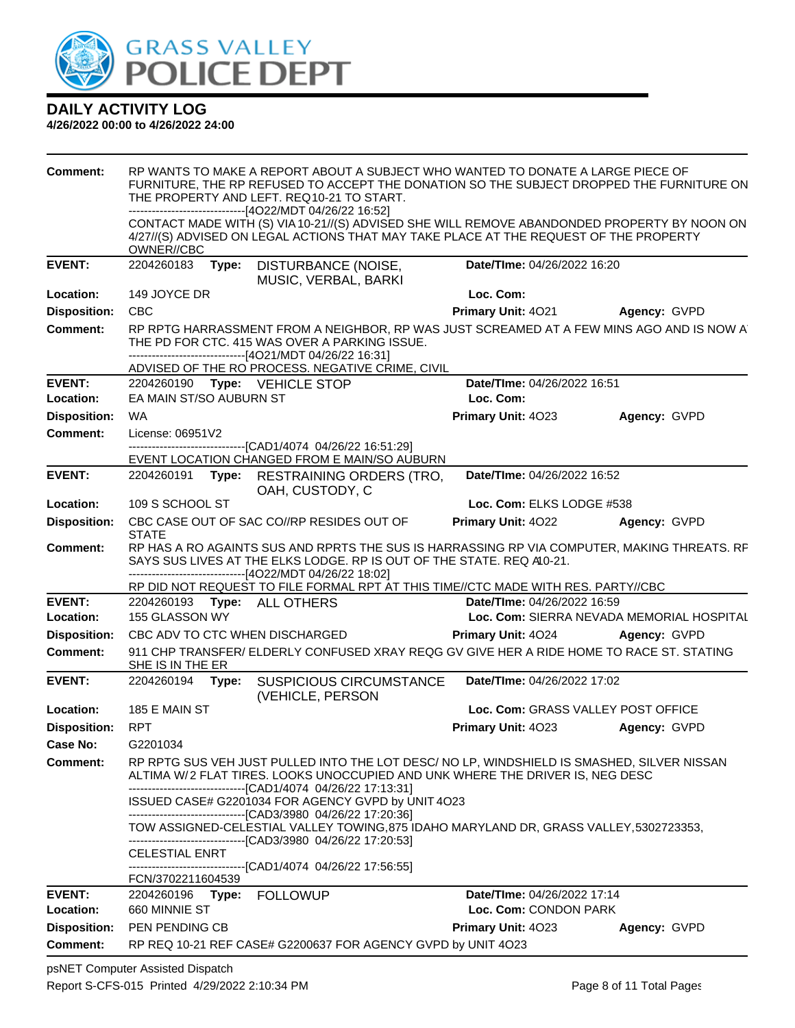

#### **4/26/2022 00:00 to 4/26/2022 24:00**

| <b>Comment:</b>     |                         |       | RP WANTS TO MAKE A REPORT ABOUT A SUBJECT WHO WANTED TO DONATE A LARGE PIECE OF<br>FURNITURE, THE RP REFUSED TO ACCEPT THE DONATION SO THE SUBJECT DROPPED THE FURNITURE ON<br>THE PROPERTY AND LEFT. REQ10-21 TO START.<br>------------------------------[4O22/MDT 04/26/22 16:52] |                                    |                                           |
|---------------------|-------------------------|-------|-------------------------------------------------------------------------------------------------------------------------------------------------------------------------------------------------------------------------------------------------------------------------------------|------------------------------------|-------------------------------------------|
|                     | OWNER//CBC              |       | CONTACT MADE WITH (S) VIA 10-21//(S) ADVISED SHE WILL REMOVE ABANDONDED PROPERTY BY NOON ON<br>4/27//(S) ADVISED ON LEGAL ACTIONS THAT MAY TAKE PLACE AT THE REQUEST OF THE PROPERTY                                                                                                |                                    |                                           |
| <b>EVENT:</b>       | 2204260183 Type:        |       | DISTURBANCE (NOISE,<br>MUSIC, VERBAL, BARKI                                                                                                                                                                                                                                         | Date/TIme: 04/26/2022 16:20        |                                           |
| Location:           | 149 JOYCE DR            |       |                                                                                                                                                                                                                                                                                     | Loc. Com:                          |                                           |
| <b>Disposition:</b> | <b>CBC</b>              |       |                                                                                                                                                                                                                                                                                     | Primary Unit: 4021                 | Agency: GVPD                              |
| <b>Comment:</b>     |                         |       | RP RPTG HARRASSMENT FROM A NEIGHBOR, RP WAS JUST SCREAMED AT A FEW MINS AGO AND IS NOW A<br>THE PD FOR CTC. 415 WAS OVER A PARKING ISSUE.<br>------------------------------[4O21/MDT 04/26/22 16:31]<br>ADVISED OF THE RO PROCESS. NEGATIVE CRIME, CIVIL                            |                                    |                                           |
| <b>EVENT:</b>       |                         |       | 2204260190 Type: VEHICLE STOP                                                                                                                                                                                                                                                       | Date/TIme: 04/26/2022 16:51        |                                           |
| Location:           | EA MAIN ST/SO AUBURN ST |       |                                                                                                                                                                                                                                                                                     | Loc. Com:                          |                                           |
| <b>Disposition:</b> | <b>WA</b>               |       |                                                                                                                                                                                                                                                                                     | Primary Unit: 4023                 | Agency: GVPD                              |
| <b>Comment:</b>     | License: 06951V2        |       |                                                                                                                                                                                                                                                                                     |                                    |                                           |
|                     |                         |       | ---------------------------------[CAD1/4074 04/26/22 16:51:29]                                                                                                                                                                                                                      |                                    |                                           |
|                     |                         |       | EVENT LOCATION CHANGED FROM E MAIN/SO AUBURN                                                                                                                                                                                                                                        |                                    |                                           |
| <b>EVENT:</b>       |                         |       | 2204260191 Type: RESTRAINING ORDERS (TRO,<br>OAH, CUSTODY, C                                                                                                                                                                                                                        | Date/TIme: 04/26/2022 16:52        |                                           |
| Location:           | 109 S SCHOOL ST         |       |                                                                                                                                                                                                                                                                                     | Loc. Com: ELKS LODGE #538          |                                           |
| <b>Disposition:</b> | <b>STATE</b>            |       | CBC CASE OUT OF SAC CO//RP RESIDES OUT OF                                                                                                                                                                                                                                           | Primary Unit: 4022                 | Agency: GVPD                              |
| <b>Comment:</b>     |                         |       | RP HAS A RO AGAINTS SUS AND RPRTS THE SUS IS HARRASSING RP VIA COMPUTER, MAKING THREATS. RF<br>SAYS SUS LIVES AT THE ELKS LODGE. RP IS OUT OF THE STATE. REQ A0-21.<br>------------------------------[4O22/MDT 04/26/22 18:02]                                                      |                                    |                                           |
| <b>EVENT:</b>       |                         |       | RP DID NOT REQUEST TO FILE FORMAL RPT AT THIS TIME//CTC MADE WITH RES. PARTY//CBC                                                                                                                                                                                                   | Date/TIme: 04/26/2022 16:59        |                                           |
| Location:           | 155 GLASSON WY          |       | 2204260193 Type: ALL OTHERS                                                                                                                                                                                                                                                         |                                    | Loc. Com: SIERRA NEVADA MEMORIAL HOSPITAL |
| <b>Disposition:</b> |                         |       | CBC ADV TO CTC WHEN DISCHARGED                                                                                                                                                                                                                                                      | Primary Unit: 4024                 | Agency: GVPD                              |
| <b>Comment:</b>     |                         |       | 911 CHP TRANSFER/ ELDERLY CONFUSED XRAY REQG GV GIVE HER A RIDE HOME TO RACE ST. STATING                                                                                                                                                                                            |                                    |                                           |
|                     | SHE IS IN THE ER        |       |                                                                                                                                                                                                                                                                                     |                                    |                                           |
| <b>EVENT:</b>       | 2204260194              | Type: | <b>SUSPICIOUS CIRCUMSTANCE</b><br>(VEHICLE, PERSON                                                                                                                                                                                                                                  | Date/TIme: 04/26/2022 17:02        |                                           |
| Location:           | 185 E MAIN ST           |       |                                                                                                                                                                                                                                                                                     | Loc. Com: GRASS VALLEY POST OFFICE |                                           |
| <b>Disposition:</b> | <b>RPT</b>              |       |                                                                                                                                                                                                                                                                                     | Primary Unit: 4023                 | Agency: GVPD                              |
| <b>Case No:</b>     | G2201034                |       |                                                                                                                                                                                                                                                                                     |                                    |                                           |
| <b>Comment:</b>     |                         |       | RP RPTG SUS VEH JUST PULLED INTO THE LOT DESC/ NO LP, WINDSHIELD IS SMASHED, SILVER NISSAN<br>ALTIMA W/2 FLAT TIRES. LOOKS UNOCCUPIED AND UNK WHERE THE DRIVER IS, NEG DESC<br>-------------------------------[CAD1/4074 04/26/22 17:13:31]                                         |                                    |                                           |
|                     |                         |       | ISSUED CASE# G2201034 FOR AGENCY GVPD by UNIT 4O23<br>-------------------------------[CAD3/3980 04/26/22 17:20:36]                                                                                                                                                                  |                                    |                                           |
|                     |                         |       | TOW ASSIGNED-CELESTIAL VALLEY TOWING,875 IDAHO MARYLAND DR, GRASS VALLEY,5302723353,<br>--------------------------------[CAD3/3980 04/26/22 17:20:53]                                                                                                                               |                                    |                                           |
|                     | <b>CELESTIAL ENRT</b>   |       | ---------------------------------[CAD1/4074 04/26/22 17:56:55]                                                                                                                                                                                                                      |                                    |                                           |
|                     | FCN/3702211604539       |       |                                                                                                                                                                                                                                                                                     |                                    |                                           |
| <b>EVENT:</b>       | 2204260196 Type:        |       | <b>FOLLOWUP</b>                                                                                                                                                                                                                                                                     | Date/TIme: 04/26/2022 17:14        |                                           |
| Location:           | 660 MINNIE ST           |       |                                                                                                                                                                                                                                                                                     | Loc. Com: CONDON PARK              |                                           |
| <b>Disposition:</b> | PEN PENDING CB          |       |                                                                                                                                                                                                                                                                                     | Primary Unit: 4023                 | Agency: GVPD                              |
| <b>Comment:</b>     |                         |       | RP REQ 10-21 REF CASE# G2200637 FOR AGENCY GVPD by UNIT 4O23                                                                                                                                                                                                                        |                                    |                                           |

psNET Computer Assisted Dispatch Report S-CFS-015 Printed 4/29/2022 2:10:34 PM Page 8 of 11 Total Pages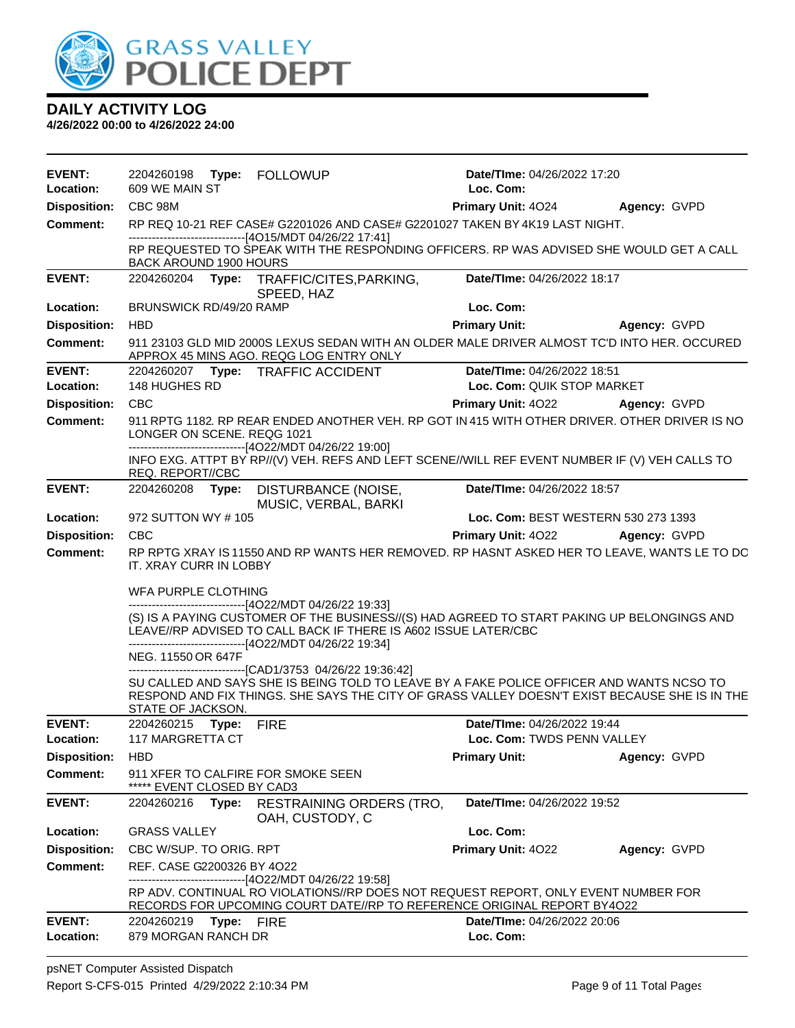

| <b>EVENT:</b>              |                                         |            |                                                                                                                                                                                                                                                                                     | Date/TIme: 04/26/2022 17:20                               |              |
|----------------------------|-----------------------------------------|------------|-------------------------------------------------------------------------------------------------------------------------------------------------------------------------------------------------------------------------------------------------------------------------------------|-----------------------------------------------------------|--------------|
| Location:                  | 609 WE MAIN ST                          |            |                                                                                                                                                                                                                                                                                     | Loc. Com:                                                 |              |
| <b>Disposition:</b>        | CBC 98M                                 |            |                                                                                                                                                                                                                                                                                     | <b>Primary Unit: 4024</b>                                 | Agency: GVPD |
| <b>Comment:</b>            |                                         |            | RP REQ 10-21 REF CASE# G2201026 AND CASE# G2201027 TAKEN BY 4K19 LAST NIGHT.<br>---------------------------------[4O15/MDT 04/26/22 17:41]                                                                                                                                          |                                                           |              |
|                            | BACK AROUND 1900 HOURS                  |            | RP REQUESTED TO SPEAK WITH THE RESPONDING OFFICERS. RP WAS ADVISED SHE WOULD GET A CALL                                                                                                                                                                                             |                                                           |              |
| <b>EVENT:</b>              |                                         |            | 2204260204 Type: TRAFFIC/CITES, PARKING,<br>SPEED, HAZ                                                                                                                                                                                                                              | Date/TIme: 04/26/2022 18:17                               |              |
| Location:                  | BRUNSWICK RD/49/20 RAMP                 |            |                                                                                                                                                                                                                                                                                     | Loc. Com:                                                 |              |
| <b>Disposition:</b>        | <b>HBD</b>                              |            |                                                                                                                                                                                                                                                                                     | <b>Primary Unit:</b>                                      | Agency: GVPD |
| <b>Comment:</b>            |                                         |            | 911 23103 GLD MID 2000S LEXUS SEDAN WITH AN OLDER MALE DRIVER ALMOST TC'D INTO HER. OCCURED<br>APPROX 45 MINS AGO. REQG LOG ENTRY ONLY                                                                                                                                              |                                                           |              |
| <b>EVENT:</b><br>Location: | 148 HUGHES RD                           |            | 2204260207 Type: TRAFFIC ACCIDENT                                                                                                                                                                                                                                                   | Date/TIme: 04/26/2022 18:51<br>Loc. Com: QUIK STOP MARKET |              |
| <b>Disposition:</b>        | <b>CBC</b>                              |            |                                                                                                                                                                                                                                                                                     | <b>Primary Unit: 4022</b>                                 | Agency: GVPD |
| <b>Comment:</b>            | LONGER ON SCENE. REQG 1021              |            | 911 RPTG 1182. RP REAR ENDED ANOTHER VEH. RP GOT IN 415 WITH OTHER DRIVER. OTHER DRIVER IS NO<br>------------------------------[4O22/MDT 04/26/22 19:00]                                                                                                                            |                                                           |              |
|                            | REQ. REPORT//CBC                        |            | INFO EXG. ATTPT BY RP//(V) VEH. REFS AND LEFT SCENE//WILL REF EVENT NUMBER IF (V) VEH CALLS TO                                                                                                                                                                                      |                                                           |              |
| <b>EVENT:</b>              |                                         |            | 2204260208 Type: DISTURBANCE (NOISE,<br>MUSIC, VERBAL, BARKI                                                                                                                                                                                                                        | Date/TIme: 04/26/2022 18:57                               |              |
| Location:                  | 972 SUTTON WY # 105                     |            |                                                                                                                                                                                                                                                                                     | Loc. Com: BEST WESTERN 530 273 1393                       |              |
| <b>Disposition:</b>        | CBC                                     |            |                                                                                                                                                                                                                                                                                     | <b>Primary Unit: 4022 Agency: GVPD</b>                    |              |
| <b>Comment:</b>            | IT. XRAY CURR IN LOBBY                  |            | RP RPTG XRAY IS 11550 AND RP WANTS HER REMOVED. RP HASNT ASKED HER TO LEAVE, WANTS LE TO DC                                                                                                                                                                                         |                                                           |              |
|                            | WFA PURPLE CLOTHING                     |            | ------------------------------[4O22/MDT 04/26/22 19:33]<br>(S) IS A PAYING CUSTOMER OF THE BUSINESS//(S) HAD AGREED TO START PAKING UP BELONGINGS AND<br>LEAVE//RP ADVISED TO CALL BACK IF THERE IS A602 ISSUE LATER/CBC<br>------------------------------[4O22/MDT 04/26/22 19:34] |                                                           |              |
|                            | NEG. 11550 OR 647F<br>STATE OF JACKSON. |            | --------------------------------[CAD1/3753 04/26/22 19:36:42]<br>SU CALLED AND SAYS SHE IS BEING TOLD TO LEAVE BY A FAKE POLICE OFFICER AND WANTS NCSO TO<br>RESPOND AND FIX THINGS. SHE SAYS THE CITY OF GRASS VALLEY DOESN'T EXIST BECAUSE SHE IS IN THE                          |                                                           |              |
| <b>EVENT:</b>              | 2204260215 Type:                        |            | <b>FIRE</b>                                                                                                                                                                                                                                                                         | Date/TIme: 04/26/2022 19:44                               |              |
| Location:                  | 117 MARGRETTA CT                        |            |                                                                                                                                                                                                                                                                                     | Loc. Com: TWDS PENN VALLEY                                |              |
| <b>Disposition:</b>        | <b>HBD</b>                              |            |                                                                                                                                                                                                                                                                                     | <b>Primary Unit:</b>                                      | Agency: GVPD |
| Comment:                   | ***** EVENT CLOSED BY CAD3              |            | 911 XFER TO CALFIRE FOR SMOKE SEEN                                                                                                                                                                                                                                                  |                                                           |              |
| <b>EVENT:</b>              | 2204260216                              | Type:      | <b>RESTRAINING ORDERS (TRO,</b><br>OAH, CUSTODY, C                                                                                                                                                                                                                                  | Date/TIme: 04/26/2022 19:52                               |              |
| Location:                  | <b>GRASS VALLEY</b>                     |            |                                                                                                                                                                                                                                                                                     | Loc. Com:                                                 |              |
| <b>Disposition:</b>        | CBC W/SUP. TO ORIG. RPT                 |            |                                                                                                                                                                                                                                                                                     | Primary Unit: 4022                                        | Agency: GVPD |
| <b>Comment:</b>            | REF. CASE G2200326 BY 4O22              |            | ------------[4O22/MDT 04/26/22 19:58]<br>RP ADV. CONTINUAL RO VIOLATIONS//RP DOES NOT REQUEST REPORT, ONLY EVENT NUMBER FOR<br>RECORDS FOR UPCOMING COURT DATE//RP TO REFERENCE ORIGINAL REPORT BY4O22                                                                              |                                                           |              |
| <b>EVENT:</b>              | 2204260219                              | Type: FIRE |                                                                                                                                                                                                                                                                                     | Date/TIme: 04/26/2022 20:06                               |              |
| <b>Location:</b>           | 879 MORGAN RANCH DR                     |            |                                                                                                                                                                                                                                                                                     | Loc. Com:                                                 |              |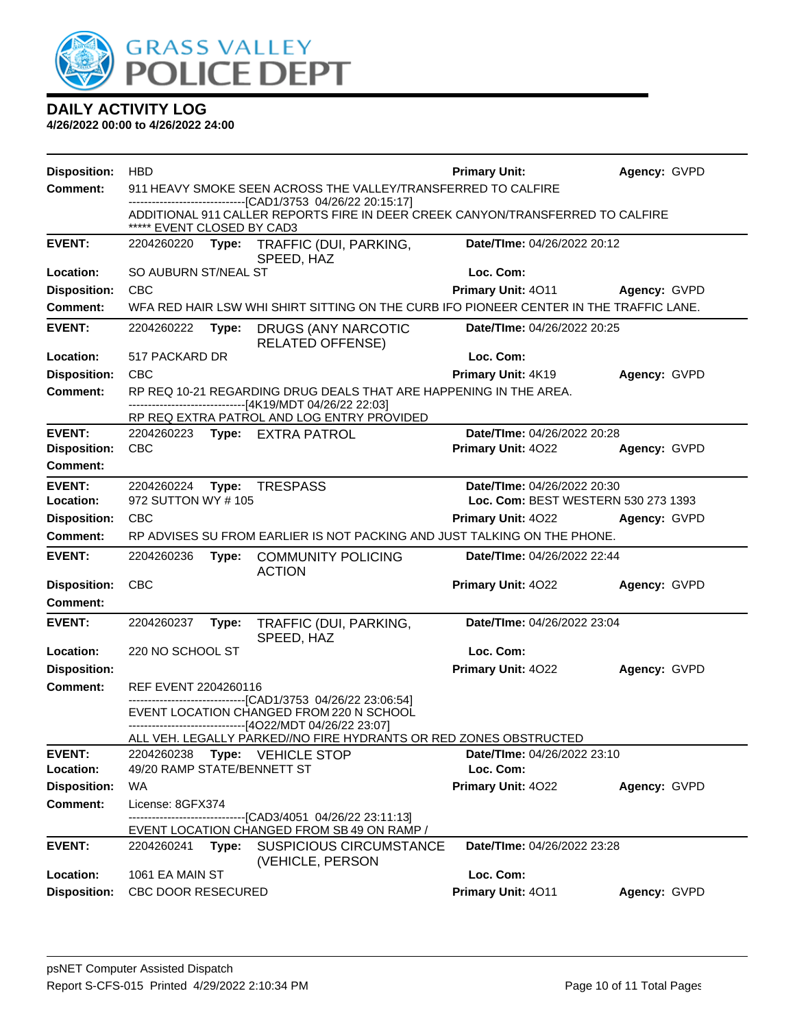

| <b>Disposition:</b>                  | <b>HBD</b>                                                                                                                          |       |                                                                                                                                                | <b>Primary Unit:</b>                              | Agency: GVPD |
|--------------------------------------|-------------------------------------------------------------------------------------------------------------------------------------|-------|------------------------------------------------------------------------------------------------------------------------------------------------|---------------------------------------------------|--------------|
| <b>Comment:</b>                      |                                                                                                                                     |       | 911 HEAVY SMOKE SEEN ACROSS THE VALLEY/TRANSFERRED TO CALFIRE                                                                                  |                                                   |              |
|                                      | ***** EVENT CLOSED BY CAD3                                                                                                          |       | -------------------------------[CAD1/3753 04/26/22 20:15:17]<br>ADDITIONAL 911 CALLER REPORTS FIRE IN DEER CREEK CANYON/TRANSFERRED TO CALFIRE |                                                   |              |
| <b>EVENT:</b>                        | 2204260220                                                                                                                          |       | Type: TRAFFIC (DUI, PARKING,<br>SPEED, HAZ                                                                                                     | Date/TIme: 04/26/2022 20:12                       |              |
| Location:                            | SO AUBURN ST/NEAL ST                                                                                                                |       |                                                                                                                                                | Loc. Com:                                         |              |
| <b>Disposition:</b>                  | <b>CBC</b>                                                                                                                          |       |                                                                                                                                                | Primary Unit: 4011                                | Agency: GVPD |
| <b>Comment:</b>                      |                                                                                                                                     |       | WFA RED HAIR LSW WHI SHIRT SITTING ON THE CURB IFO PIONEER CENTER IN THE TRAFFIC LANE.                                                         |                                                   |              |
| <b>EVENT:</b>                        | 2204260222                                                                                                                          | Type: | DRUGS (ANY NARCOTIC<br><b>RELATED OFFENSE)</b>                                                                                                 | Date/TIme: 04/26/2022 20:25                       |              |
| Location:                            | 517 PACKARD DR                                                                                                                      |       |                                                                                                                                                | Loc. Com:                                         |              |
| <b>Disposition:</b>                  | <b>CBC</b>                                                                                                                          |       |                                                                                                                                                | Primary Unit: 4K19                                | Agency: GVPD |
| <b>Comment:</b>                      |                                                                                                                                     |       | RP REQ 10-21 REGARDING DRUG DEALS THAT ARE HAPPENING IN THE AREA.<br>------------------------------[4K19/MDT 04/26/22 22:03]                   |                                                   |              |
|                                      |                                                                                                                                     |       | RP REQ EXTRA PATROL AND LOG ENTRY PROVIDED                                                                                                     |                                                   |              |
| <b>EVENT:</b><br><b>Disposition:</b> | <b>CBC</b>                                                                                                                          |       | 2204260223 Type: EXTRA PATROL                                                                                                                  | Date/TIme: 04/26/2022 20:28<br>Primary Unit: 4022 | Agency: GVPD |
| <b>Comment:</b>                      |                                                                                                                                     |       |                                                                                                                                                |                                                   |              |
| <b>EVENT:</b>                        |                                                                                                                                     |       |                                                                                                                                                |                                                   |              |
| Location:                            | <b>TRESPASS</b><br>Date/TIme: 04/26/2022 20:30<br>2204260224<br>Type:<br>972 SUTTON WY # 105<br>Loc. Com: BEST WESTERN 530 273 1393 |       |                                                                                                                                                |                                                   |              |
| <b>Disposition:</b>                  | <b>CBC</b>                                                                                                                          |       |                                                                                                                                                | <b>Primary Unit: 4022</b>                         | Agency: GVPD |
| <b>Comment:</b>                      |                                                                                                                                     |       | RP ADVISES SU FROM EARLIER IS NOT PACKING AND JUST TALKING ON THE PHONE.                                                                       |                                                   |              |
| <b>EVENT:</b>                        | 2204260236                                                                                                                          | Type: | <b>COMMUNITY POLICING</b>                                                                                                                      | Date/TIme: 04/26/2022 22:44                       |              |
| <b>Disposition:</b>                  | <b>CBC</b>                                                                                                                          |       | <b>ACTION</b>                                                                                                                                  | Primary Unit: 4022                                | Agency: GVPD |
| <b>Comment:</b>                      |                                                                                                                                     |       |                                                                                                                                                |                                                   |              |
| <b>EVENT:</b>                        | 2204260237                                                                                                                          | Type: | TRAFFIC (DUI, PARKING,                                                                                                                         | Date/TIme: 04/26/2022 23:04                       |              |
|                                      |                                                                                                                                     |       | SPEED, HAZ                                                                                                                                     |                                                   |              |
| Location:                            | 220 NO SCHOOL ST                                                                                                                    |       |                                                                                                                                                | Loc. Com:                                         |              |
| <b>Disposition:</b>                  |                                                                                                                                     |       |                                                                                                                                                | Primary Unit: 4022                                | Agency: GVPD |
| <b>Comment:</b>                      | REF EVENT 2204260116                                                                                                                |       | -------------------------------[CAD1/3753 04/26/22 23:06:54]                                                                                   |                                                   |              |
|                                      |                                                                                                                                     |       | EVENT LOCATION CHANGED FROM 220 N SCHOOL                                                                                                       |                                                   |              |
|                                      |                                                                                                                                     |       | ------------------------------[4O22/MDT 04/26/22 23:07]                                                                                        |                                                   |              |
| <b>EVENT:</b>                        | 2204260238                                                                                                                          |       | ALL VEH. LEGALLY PARKED//NO FIRE HYDRANTS OR RED ZONES OBSTRUCTED<br>Type: VEHICLE STOP                                                        | Date/TIme: 04/26/2022 23:10                       |              |
| Location:                            | 49/20 RAMP STATE/BENNETT ST                                                                                                         |       |                                                                                                                                                | Loc. Com:                                         |              |
| <b>Disposition:</b>                  | WA                                                                                                                                  |       |                                                                                                                                                | Primary Unit: 4022                                | Agency: GVPD |
| <b>Comment:</b>                      | License: 8GFX374                                                                                                                    |       |                                                                                                                                                |                                                   |              |
|                                      |                                                                                                                                     |       | -------------------------------[CAD3/4051_04/26/22 23:11:13]<br>EVENT LOCATION CHANGED FROM SB 49 ON RAMP /                                    |                                                   |              |
| <b>EVENT:</b>                        | 2204260241                                                                                                                          |       | Type: SUSPICIOUS CIRCUMSTANCE<br>(VEHICLE, PERSON                                                                                              | Date/TIme: 04/26/2022 23:28                       |              |
| Location:                            | 1061 EA MAIN ST                                                                                                                     |       |                                                                                                                                                | Loc. Com:                                         |              |
| <b>Disposition:</b>                  | <b>CBC DOOR RESECURED</b>                                                                                                           |       |                                                                                                                                                | Primary Unit: 4011                                | Agency: GVPD |